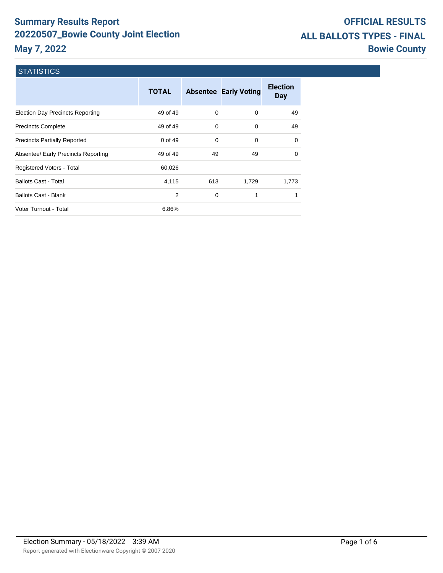# **Summary Results Report 20220507\_Bowie County Joint Election May 7, 2022**

# **OFFICIAL RESULTS ALL BALLOTS TYPES - FINAL Bowie County**

## **STATISTICS**

|                                         | <b>TOTAL</b> |          | <b>Absentee Early Voting</b> | <b>Election</b><br><b>Day</b> |
|-----------------------------------------|--------------|----------|------------------------------|-------------------------------|
| <b>Election Day Precincts Reporting</b> | 49 of 49     | $\Omega$ | $\Omega$                     | 49                            |
| <b>Precincts Complete</b>               | 49 of 49     | $\Omega$ | 0                            | 49                            |
| <b>Precincts Partially Reported</b>     | 0 of 49      | $\Omega$ | 0                            | 0                             |
| Absentee/ Early Precincts Reporting     | 49 of 49     | 49       | 49                           | $\Omega$                      |
| Registered Voters - Total               | 60,026       |          |                              |                               |
| <b>Ballots Cast - Total</b>             | 4,115        | 613      | 1,729                        | 1,773                         |
| <b>Ballots Cast - Blank</b>             | 2            | 0        | 1                            | 1                             |
| Voter Turnout - Total                   | 6.86%        |          |                              |                               |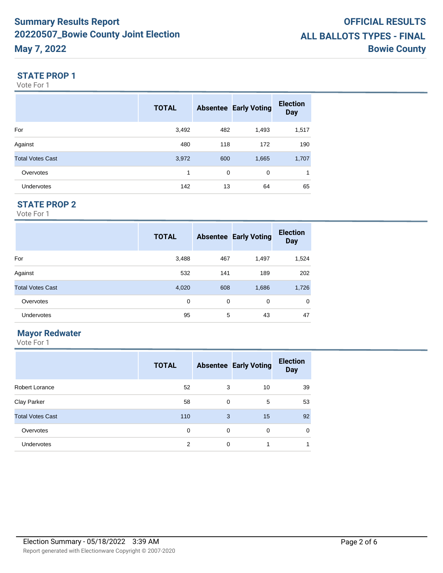#### **STATE PROP 1**

Vote For 1

|                         | <b>TOTAL</b> |     | <b>Absentee Early Voting</b> | <b>Election</b><br><b>Day</b> |
|-------------------------|--------------|-----|------------------------------|-------------------------------|
| For                     | 3,492        | 482 | 1,493                        | 1,517                         |
| Against                 | 480          | 118 | 172                          | 190                           |
| <b>Total Votes Cast</b> | 3,972        | 600 | 1,665                        | 1,707                         |
| Overvotes               | 1            | 0   | $\mathbf 0$                  | 1                             |
| <b>Undervotes</b>       | 142          | 13  | 64                           | 65                            |

## **STATE PROP 2**

Vote For 1

|                         | <b>TOTAL</b> |     | <b>Absentee Early Voting</b> | <b>Election</b><br><b>Day</b> |
|-------------------------|--------------|-----|------------------------------|-------------------------------|
| For                     | 3,488        | 467 | 1,497                        | 1,524                         |
| Against                 | 532          | 141 | 189                          | 202                           |
| <b>Total Votes Cast</b> | 4,020        | 608 | 1,686                        | 1,726                         |
| Overvotes               | 0            | 0   | 0                            | $\mathbf 0$                   |
| Undervotes              | 95           | 5   | 43                           | 47                            |

## **Mayor Redwater**

|                         | <b>TOTAL</b> |          | <b>Absentee Early Voting</b> | <b>Election</b><br><b>Day</b> |
|-------------------------|--------------|----------|------------------------------|-------------------------------|
| <b>Robert Lorance</b>   | 52           | 3        | 10                           | 39                            |
| Clay Parker             | 58           | 0        | 5                            | 53                            |
| <b>Total Votes Cast</b> | 110          | 3        | 15                           | 92                            |
| Overvotes               | $\Omega$     | $\Omega$ | $\Omega$                     | $\mathbf 0$                   |
| Undervotes              | 2            | $\Omega$ | 1                            |                               |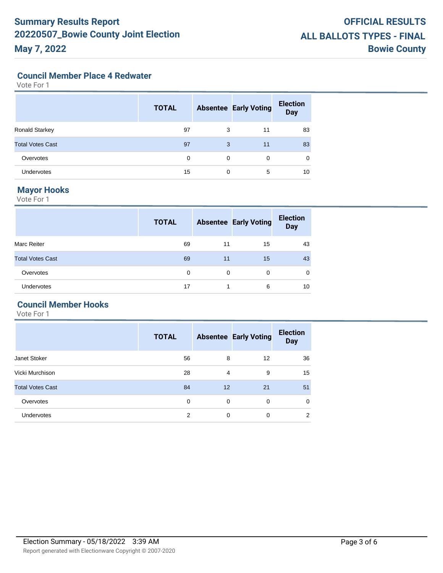#### **Council Member Place 4 Redwater**

Vote For 1

|                         | <b>TOTAL</b> |          | <b>Absentee Early Voting</b> | <b>Election</b><br><b>Day</b> |
|-------------------------|--------------|----------|------------------------------|-------------------------------|
| Ronald Starkey          | 97           | 3        | 11                           | 83                            |
| <b>Total Votes Cast</b> | 97           | 3        | 11                           | 83                            |
| Overvotes               | 0            | 0        | 0                            | $\mathbf 0$                   |
| Undervotes              | 15           | $\Omega$ | 5                            | 10                            |

#### **Mayor Hooks**

Vote For 1

|                         | <b>TOTAL</b> |    | <b>Absentee Early Voting</b> | <b>Election</b><br><b>Day</b> |
|-------------------------|--------------|----|------------------------------|-------------------------------|
| Marc Reiter             | 69           | 11 | 15                           | 43                            |
| <b>Total Votes Cast</b> | 69           | 11 | 15                           | 43                            |
| Overvotes               | 0            | 0  | 0                            | 0                             |
| Undervotes              | 17           |    | 6                            | 10                            |

## **Council Member Hooks**

|                         | <b>TOTAL</b> |    | <b>Absentee Early Voting</b> | <b>Election</b><br><b>Day</b> |
|-------------------------|--------------|----|------------------------------|-------------------------------|
| Janet Stoker            | 56           | 8  | 12                           | 36                            |
| Vicki Murchison         | 28           | 4  | 9                            | 15                            |
| <b>Total Votes Cast</b> | 84           | 12 | 21                           | 51                            |
| Overvotes               | 0            | 0  | 0                            | 0                             |
| Undervotes              | 2            | 0  | 0                            | 2                             |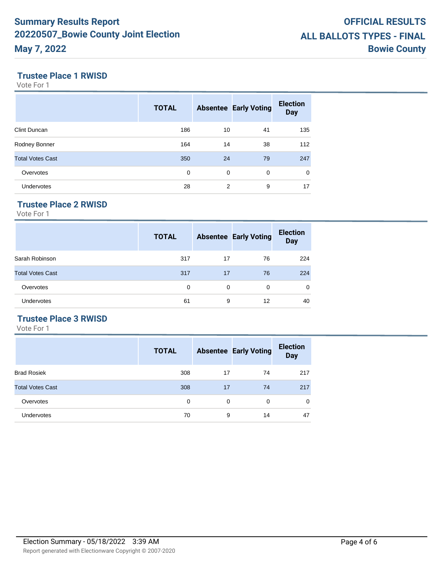### **Trustee Place 1 RWISD**

Vote For 1

|                         | <b>TOTAL</b> |    | <b>Absentee Early Voting</b> | <b>Election</b><br><b>Day</b> |
|-------------------------|--------------|----|------------------------------|-------------------------------|
| Clint Duncan            | 186          | 10 | 41                           | 135                           |
| Rodney Bonner           | 164          | 14 | 38                           | 112                           |
| <b>Total Votes Cast</b> | 350          | 24 | 79                           | 247                           |
| Overvotes               | 0            | 0  | 0                            | $\mathbf 0$                   |
| <b>Undervotes</b>       | 28           | 2  | 9                            | 17                            |

# **Trustee Place 2 RWISD**

Vote For 1

|                         | <b>TOTAL</b> |          | <b>Absentee Early Voting</b> | <b>Election</b><br><b>Day</b> |
|-------------------------|--------------|----------|------------------------------|-------------------------------|
| Sarah Robinson          | 317          | 17       | 76                           | 224                           |
| <b>Total Votes Cast</b> | 317          | 17       | 76                           | 224                           |
| Overvotes               | 0            | $\Omega$ | 0                            | 0                             |
| Undervotes              | 61           | 9        | 12                           | 40                            |

### **Trustee Place 3 RWISD**

|                         | <b>TOTAL</b> |          | <b>Absentee Early Voting</b> | <b>Election</b><br><b>Day</b> |
|-------------------------|--------------|----------|------------------------------|-------------------------------|
| <b>Brad Rosiek</b>      | 308          | 17       | 74                           | 217                           |
| <b>Total Votes Cast</b> | 308          | 17       | 74                           | 217                           |
| Overvotes               | $\Omega$     | $\Omega$ | $\Omega$                     | $\mathbf 0$                   |
| Undervotes              | 70           | 9        | 14                           | 47                            |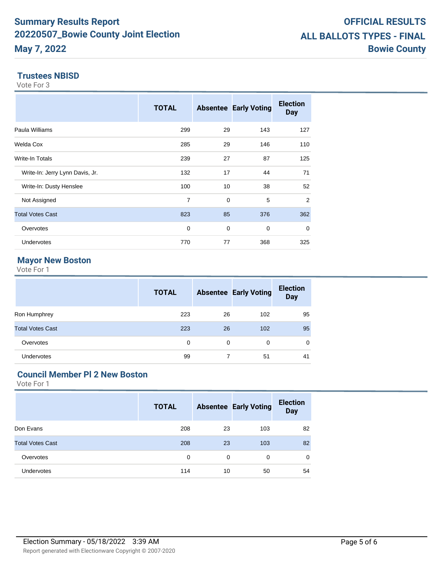#### **Trustees NBISD**

Vote For 3

|                                 | <b>TOTAL</b>   |    | <b>Absentee Early Voting</b> | <b>Election</b><br><b>Day</b> |
|---------------------------------|----------------|----|------------------------------|-------------------------------|
| Paula Williams                  | 299            | 29 | 143                          | 127                           |
| Welda Cox                       | 285            | 29 | 146                          | 110                           |
| Write-In Totals                 | 239            | 27 | 87                           | 125                           |
| Write-In: Jerry Lynn Davis, Jr. | 132            | 17 | 44                           | 71                            |
| Write-In: Dusty Henslee         | 100            | 10 | 38                           | 52                            |
| Not Assigned                    | $\overline{7}$ | 0  | 5                            | 2                             |
| <b>Total Votes Cast</b>         | 823            | 85 | 376                          | 362                           |
| Overvotes                       | 0              | 0  | 0                            | 0                             |
| <b>Undervotes</b>               | 770            | 77 | 368                          | 325                           |

## **Mayor New Boston**

Vote For 1

|                         | <b>TOTAL</b> |          | <b>Absentee Early Voting</b> | <b>Election</b><br><b>Day</b> |
|-------------------------|--------------|----------|------------------------------|-------------------------------|
| Ron Humphrey            | 223          | 26       | 102                          | 95                            |
| <b>Total Votes Cast</b> | 223          | 26       | 102                          | 95                            |
| Overvotes               | $\Omega$     | $\Omega$ | $\Omega$                     | 0                             |
| Undervotes              | 99           |          | 51                           | 41                            |

# **Council Member Pl 2 New Boston**

|                         | <b>TOTAL</b> |          | <b>Absentee Early Voting</b> | <b>Election</b><br><b>Day</b> |
|-------------------------|--------------|----------|------------------------------|-------------------------------|
| Don Evans               | 208          | 23       | 103                          | 82                            |
| <b>Total Votes Cast</b> | 208          | 23       | 103                          | 82                            |
| Overvotes               | $\Omega$     | $\Omega$ | 0                            | 0                             |
| Undervotes              | 114          | 10       | 50                           | 54                            |